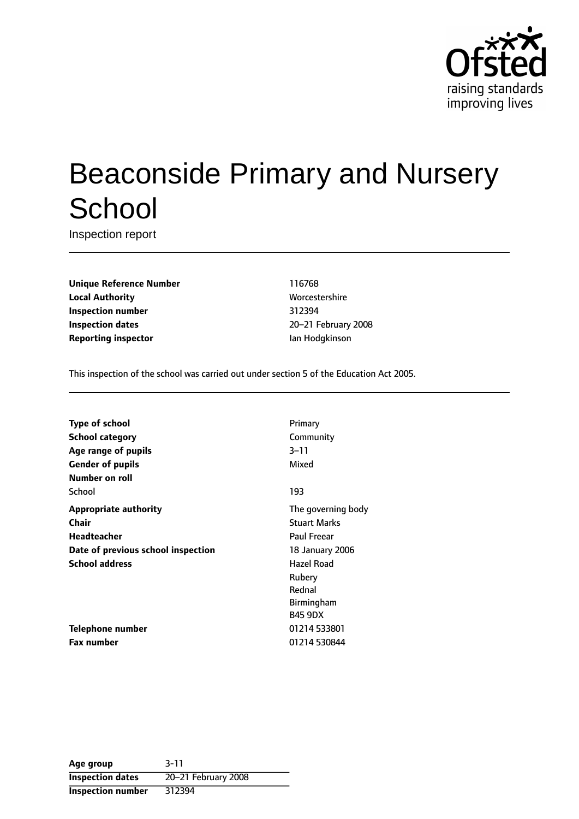

# Beaconside Primary and Nursery **School**

Inspection report

**Unique Reference Number** 116768 **Local Authority More** Worcestershire **Inspection number** 312394 **Inspection dates** 20-21 February 2008 **Reporting inspector In the Internal Ian Hodgkinson** 

This inspection of the school was carried out under section 5 of the Education Act 2005.

| <b>Type of school</b>              | Primary             |
|------------------------------------|---------------------|
| <b>School category</b>             | Community           |
| Age range of pupils                | $3 - 11$            |
| <b>Gender of pupils</b>            | Mixed               |
| Number on roll                     |                     |
| School                             | 193                 |
| <b>Appropriate authority</b>       | The governing body  |
| <b>Chair</b>                       | <b>Stuart Marks</b> |
| <b>Headteacher</b>                 | <b>Paul Freear</b>  |
| Date of previous school inspection | 18 January 2006     |
| <b>School address</b>              | Hazel Road          |
|                                    | Rubery              |
|                                    | Rednal              |
|                                    | <b>Birmingham</b>   |
|                                    | <b>B45 9DX</b>      |
| <b>Telephone number</b>            | 01214 533801        |
| <b>Fax number</b>                  | 01214 530844        |

**Age group** 3-11 **Inspection dates** 20-21 February 2008 **Inspection number** 312394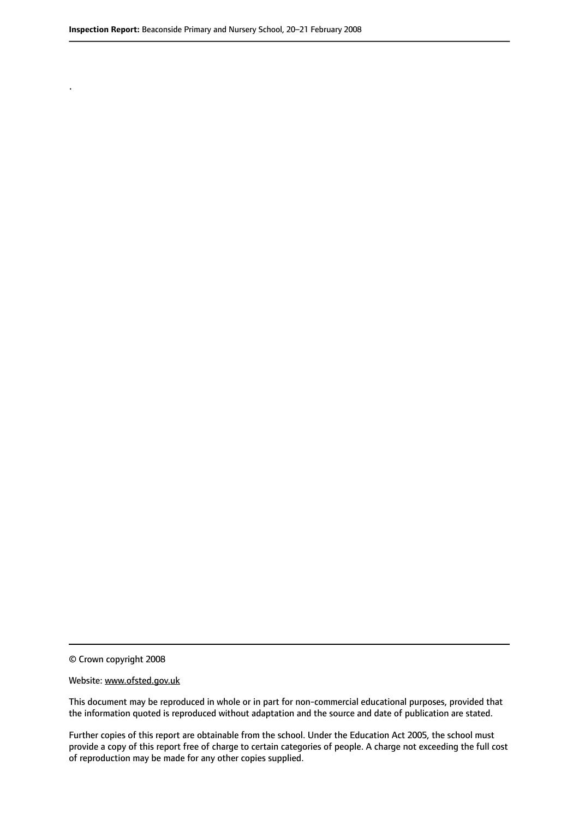.

© Crown copyright 2008

#### Website: www.ofsted.gov.uk

This document may be reproduced in whole or in part for non-commercial educational purposes, provided that the information quoted is reproduced without adaptation and the source and date of publication are stated.

Further copies of this report are obtainable from the school. Under the Education Act 2005, the school must provide a copy of this report free of charge to certain categories of people. A charge not exceeding the full cost of reproduction may be made for any other copies supplied.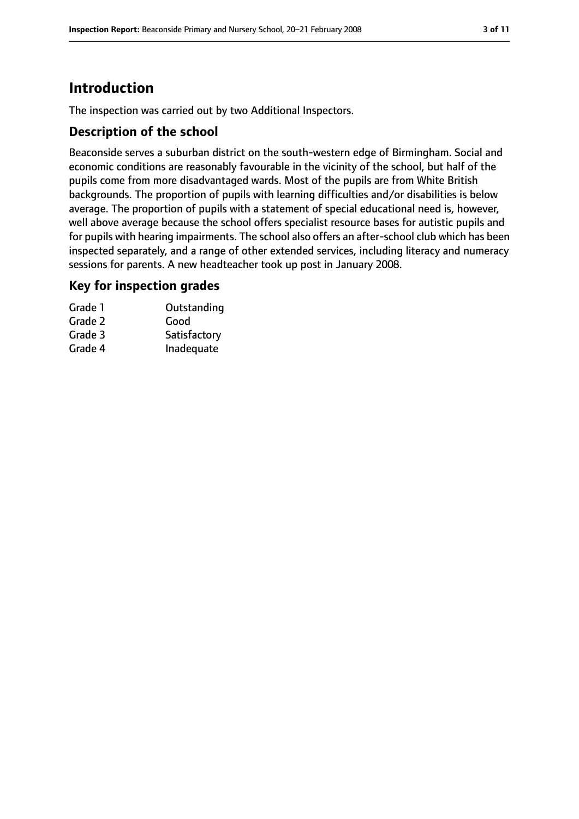# **Introduction**

The inspection was carried out by two Additional Inspectors.

## **Description of the school**

Beaconside serves a suburban district on the south-western edge of Birmingham. Social and economic conditions are reasonably favourable in the vicinity of the school, but half of the pupils come from more disadvantaged wards. Most of the pupils are from White British backgrounds. The proportion of pupils with learning difficulties and/or disabilities is below average. The proportion of pupils with a statement of special educational need is, however, well above average because the school offers specialist resource bases for autistic pupils and for pupils with hearing impairments. The school also offers an after-school club which has been inspected separately, and a range of other extended services, including literacy and numeracy sessions for parents. A new headteacher took up post in January 2008.

#### **Key for inspection grades**

| Grade 1 | Outstanding  |
|---------|--------------|
| Grade 2 | Good         |
| Grade 3 | Satisfactory |
| Grade 4 | Inadequate   |
|         |              |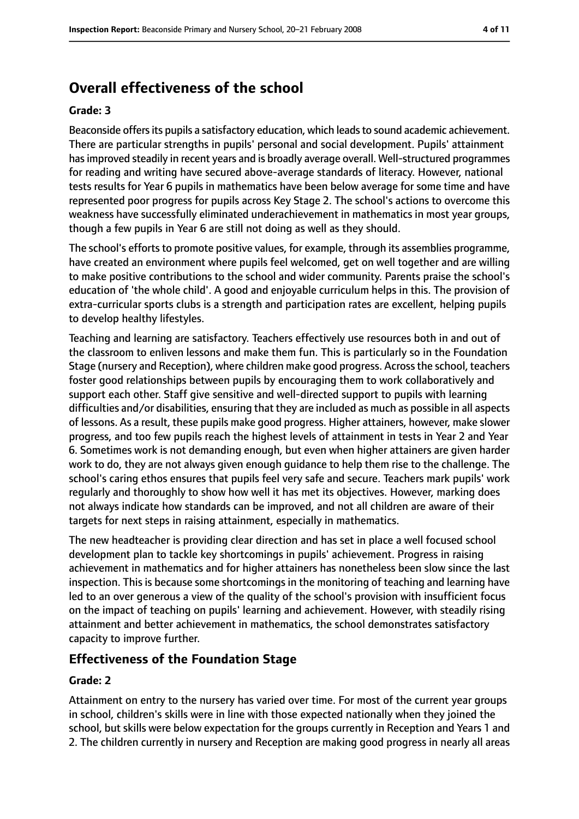# **Overall effectiveness of the school**

#### **Grade: 3**

Beaconside offers its pupils a satisfactory education, which leads to sound academic achievement. There are particular strengths in pupils' personal and social development. Pupils' attainment hasimproved steadily in recent years and is broadly average overall. Well-structured programmes for reading and writing have secured above-average standards of literacy. However, national tests results for Year 6 pupils in mathematics have been below average for some time and have represented poor progress for pupils across Key Stage 2. The school's actions to overcome this weakness have successfully eliminated underachievement in mathematics in most year groups, though a few pupils in Year 6 are still not doing as well as they should.

The school's efforts to promote positive values, for example, through its assemblies programme, have created an environment where pupils feel welcomed, get on well together and are willing to make positive contributions to the school and wider community. Parents praise the school's education of 'the whole child'. A good and enjoyable curriculum helps in this. The provision of extra-curricular sports clubs is a strength and participation rates are excellent, helping pupils to develop healthy lifestyles.

Teaching and learning are satisfactory. Teachers effectively use resources both in and out of the classroom to enliven lessons and make them fun. This is particularly so in the Foundation Stage (nursery and Reception), where children make good progress. Acrossthe school, teachers foster good relationships between pupils by encouraging them to work collaboratively and support each other. Staff give sensitive and well-directed support to pupils with learning difficulties and/or disabilities, ensuring that they are included as much as possible in all aspects of lessons. As a result, these pupils make good progress. Higher attainers, however, make slower progress, and too few pupils reach the highest levels of attainment in tests in Year 2 and Year 6. Sometimes work is not demanding enough, but even when higher attainers are given harder work to do, they are not always given enough guidance to help them rise to the challenge. The school's caring ethos ensures that pupils feel very safe and secure. Teachers mark pupils' work regularly and thoroughly to show how well it has met its objectives. However, marking does not always indicate how standards can be improved, and not all children are aware of their targets for next steps in raising attainment, especially in mathematics.

The new headteacher is providing clear direction and has set in place a well focused school development plan to tackle key shortcomings in pupils' achievement. Progress in raising achievement in mathematics and for higher attainers has nonetheless been slow since the last inspection. This is because some shortcomings in the monitoring of teaching and learning have led to an over generous a view of the quality of the school's provision with insufficient focus on the impact of teaching on pupils' learning and achievement. However, with steadily rising attainment and better achievement in mathematics, the school demonstrates satisfactory capacity to improve further.

#### **Effectiveness of the Foundation Stage**

#### **Grade: 2**

Attainment on entry to the nursery has varied over time. For most of the current year groups in school, children's skills were in line with those expected nationally when they joined the school, but skills were below expectation for the groups currently in Reception and Years 1 and 2. The children currently in nursery and Reception are making good progress in nearly all areas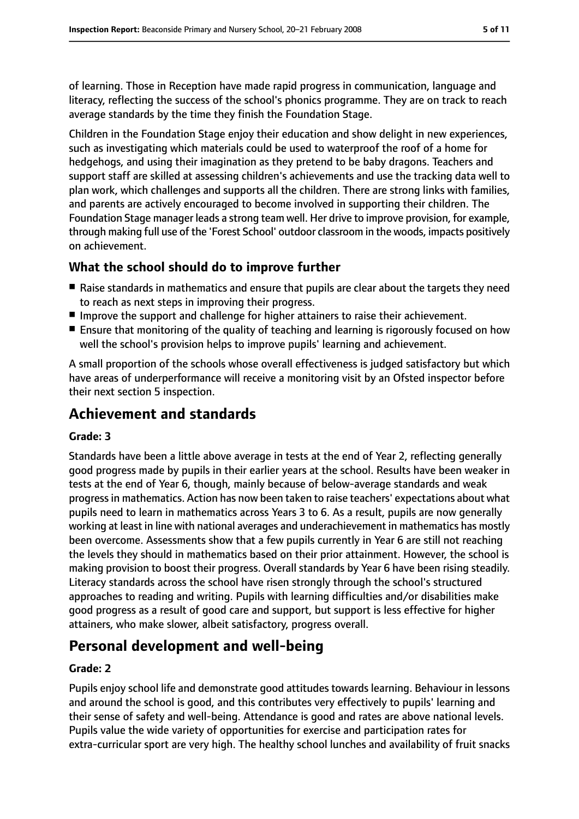of learning. Those in Reception have made rapid progress in communication, language and literacy, reflecting the success of the school's phonics programme. They are on track to reach average standards by the time they finish the Foundation Stage.

Children in the Foundation Stage enjoy their education and show delight in new experiences, such as investigating which materials could be used to waterproof the roof of a home for hedgehogs, and using their imagination as they pretend to be baby dragons. Teachers and support staff are skilled at assessing children's achievements and use the tracking data well to plan work, which challenges and supports all the children. There are strong links with families, and parents are actively encouraged to become involved in supporting their children. The Foundation Stage manager leads a strong team well. Her drive to improve provision, for example, through making full use of the 'Forest School' outdoor classroom in the woods, impacts positively on achievement.

## **What the school should do to improve further**

- Raise standards in mathematics and ensure that pupils are clear about the targets they need to reach as next steps in improving their progress.
- Improve the support and challenge for higher attainers to raise their achievement.
- Ensure that monitoring of the quality of teaching and learning is rigorously focused on how well the school's provision helps to improve pupils' learning and achievement.

A small proportion of the schools whose overall effectiveness is judged satisfactory but which have areas of underperformance will receive a monitoring visit by an Ofsted inspector before their next section 5 inspection.

# **Achievement and standards**

#### **Grade: 3**

Standards have been a little above average in tests at the end of Year 2, reflecting generally good progress made by pupils in their earlier years at the school. Results have been weaker in tests at the end of Year 6, though, mainly because of below-average standards and weak progressin mathematics. Action has now been taken to raise teachers' expectations about what pupils need to learn in mathematics across Years 3 to 6. As a result, pupils are now generally working at least in line with national averages and underachievement in mathematics has mostly been overcome. Assessments show that a few pupils currently in Year 6 are still not reaching the levels they should in mathematics based on their prior attainment. However, the school is making provision to boost their progress. Overall standards by Year 6 have been rising steadily. Literacy standards across the school have risen strongly through the school's structured approaches to reading and writing. Pupils with learning difficulties and/or disabilities make good progress as a result of good care and support, but support is less effective for higher attainers, who make slower, albeit satisfactory, progress overall.

# **Personal development and well-being**

#### **Grade: 2**

Pupils enjoy school life and demonstrate good attitudes towards learning. Behaviour in lessons and around the school is good, and this contributes very effectively to pupils' learning and their sense of safety and well-being. Attendance is good and rates are above national levels. Pupils value the wide variety of opportunities for exercise and participation rates for extra-curricular sport are very high. The healthy school lunches and availability of fruit snacks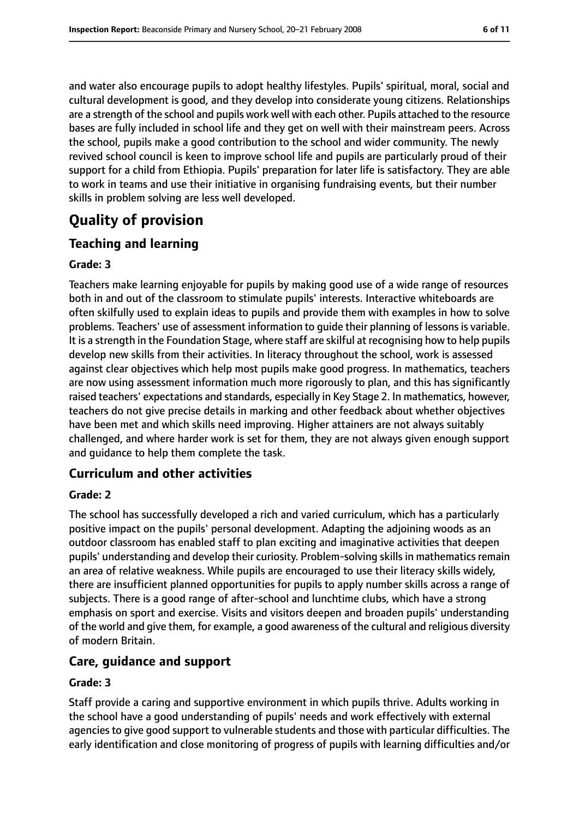and water also encourage pupils to adopt healthy lifestyles. Pupils' spiritual, moral, social and cultural development is good, and they develop into considerate young citizens. Relationships are a strength of the school and pupils work well with each other. Pupils attached to the resource bases are fully included in school life and they get on well with their mainstream peers. Across the school, pupils make a good contribution to the school and wider community. The newly revived school council is keen to improve school life and pupils are particularly proud of their support for a child from Ethiopia. Pupils' preparation for later life is satisfactory. They are able to work in teams and use their initiative in organising fundraising events, but their number skills in problem solving are less well developed.

# **Quality of provision**

## **Teaching and learning**

#### **Grade: 3**

Teachers make learning enjoyable for pupils by making good use of a wide range of resources both in and out of the classroom to stimulate pupils' interests. Interactive whiteboards are often skilfully used to explain ideas to pupils and provide them with examples in how to solve problems. Teachers' use of assessment information to guide their planning of lessonsis variable. It is a strength in the Foundation Stage, where staff are skilful at recognising how to help pupils develop new skills from their activities. In literacy throughout the school, work is assessed against clear objectives which help most pupils make good progress. In mathematics, teachers are now using assessment information much more rigorously to plan, and this has significantly raised teachers' expectations and standards, especially in Key Stage 2. In mathematics, however, teachers do not give precise details in marking and other feedback about whether objectives have been met and which skills need improving. Higher attainers are not always suitably challenged, and where harder work is set for them, they are not always given enough support and guidance to help them complete the task.

## **Curriculum and other activities**

#### **Grade: 2**

The school has successfully developed a rich and varied curriculum, which has a particularly positive impact on the pupils' personal development. Adapting the adjoining woods as an outdoor classroom has enabled staff to plan exciting and imaginative activities that deepen pupils' understanding and develop their curiosity. Problem-solving skills in mathematics remain an area of relative weakness. While pupils are encouraged to use their literacy skills widely, there are insufficient planned opportunities for pupils to apply number skills across a range of subjects. There is a good range of after-school and lunchtime clubs, which have a strong emphasis on sport and exercise. Visits and visitors deepen and broaden pupils' understanding of the world and give them, for example, a good awareness of the cultural and religious diversity of modern Britain.

## **Care, guidance and support**

#### **Grade: 3**

Staff provide a caring and supportive environment in which pupils thrive. Adults working in the school have a good understanding of pupils' needs and work effectively with external agencies to give good support to vulnerable students and those with particular difficulties. The early identification and close monitoring of progress of pupils with learning difficulties and/or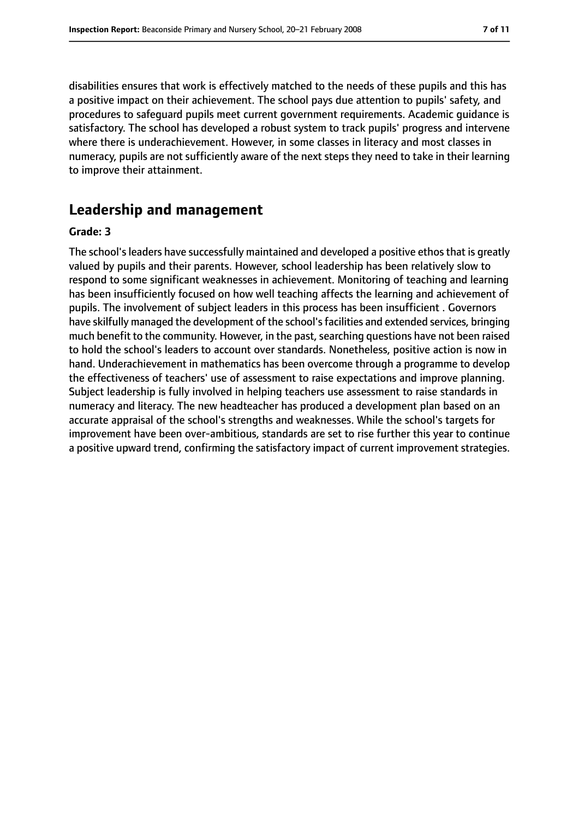disabilities ensures that work is effectively matched to the needs of these pupils and this has a positive impact on their achievement. The school pays due attention to pupils' safety, and procedures to safeguard pupils meet current government requirements. Academic guidance is satisfactory. The school has developed a robust system to track pupils' progress and intervene where there is underachievement. However, in some classes in literacy and most classes in numeracy, pupils are not sufficiently aware of the next steps they need to take in their learning to improve their attainment.

## **Leadership and management**

#### **Grade: 3**

The school's leaders have successfully maintained and developed a positive ethos that is greatly valued by pupils and their parents. However, school leadership has been relatively slow to respond to some significant weaknesses in achievement. Monitoring of teaching and learning has been insufficiently focused on how well teaching affects the learning and achievement of pupils. The involvement of subject leaders in this process has been insufficient . Governors have skilfully managed the development of the school'sfacilities and extended services, bringing much benefit to the community. However, in the past, searching questions have not been raised to hold the school's leaders to account over standards. Nonetheless, positive action is now in hand. Underachievement in mathematics has been overcome through a programme to develop the effectiveness of teachers' use of assessment to raise expectations and improve planning. Subject leadership is fully involved in helping teachers use assessment to raise standards in numeracy and literacy. The new headteacher has produced a development plan based on an accurate appraisal of the school's strengths and weaknesses. While the school's targets for improvement have been over-ambitious, standards are set to rise further this year to continue a positive upward trend, confirming the satisfactory impact of current improvement strategies.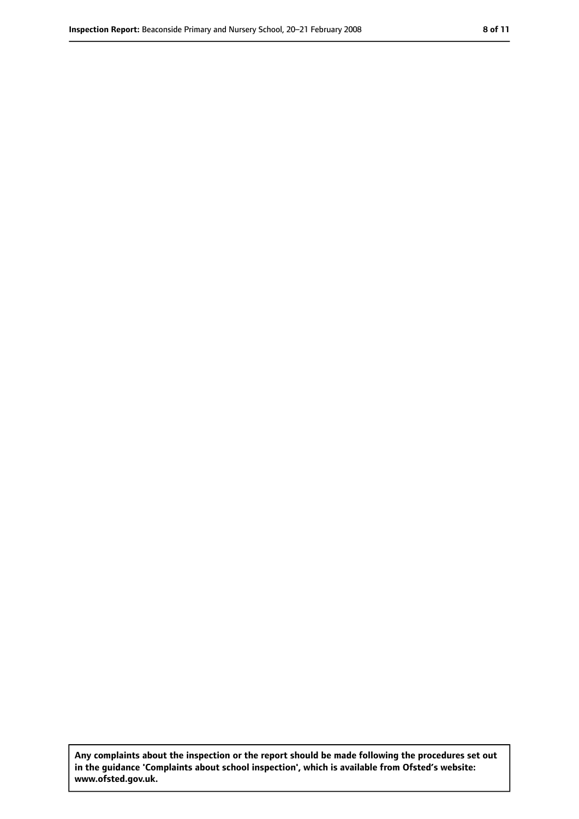**Any complaints about the inspection or the report should be made following the procedures set out in the guidance 'Complaints about school inspection', which is available from Ofsted's website: www.ofsted.gov.uk.**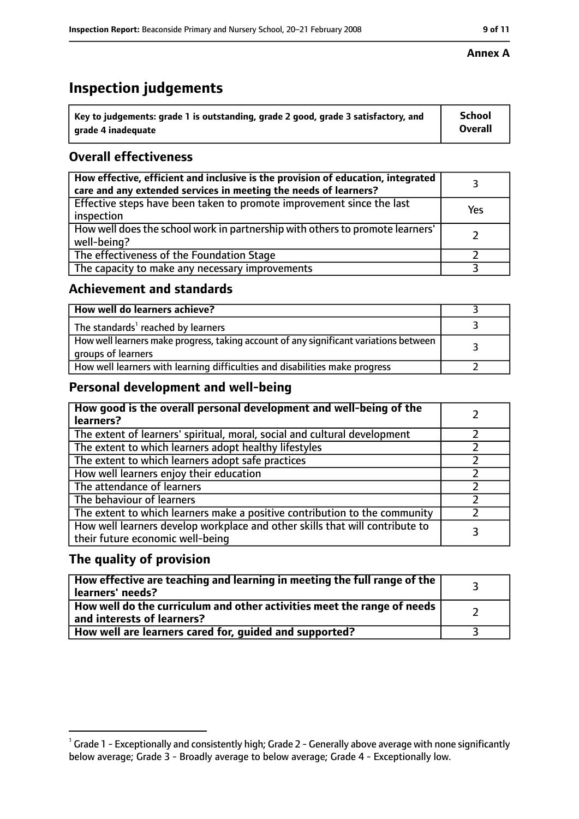# **Inspection judgements**

| $^{\backprime}$ Key to judgements: grade 1 is outstanding, grade 2 good, grade 3 satisfactory, and | <b>School</b>  |
|----------------------------------------------------------------------------------------------------|----------------|
| arade 4 inadeguate                                                                                 | <b>Overall</b> |

## **Overall effectiveness**

| How effective, efficient and inclusive is the provision of education, integrated<br>care and any extended services in meeting the needs of learners? |     |
|------------------------------------------------------------------------------------------------------------------------------------------------------|-----|
| Effective steps have been taken to promote improvement since the last<br>inspection                                                                  | Yes |
| How well does the school work in partnership with others to promote learners'<br>well-being?                                                         |     |
| The effectiveness of the Foundation Stage                                                                                                            |     |
| The capacity to make any necessary improvements                                                                                                      |     |

## **Achievement and standards**

| How well do learners achieve?                                                                               |  |
|-------------------------------------------------------------------------------------------------------------|--|
| The standards <sup>1</sup> reached by learners                                                              |  |
| How well learners make progress, taking account of any significant variations between<br>groups of learners |  |
| How well learners with learning difficulties and disabilities make progress                                 |  |

## **Personal development and well-being**

| How good is the overall personal development and well-being of the<br>learners?                                  |  |
|------------------------------------------------------------------------------------------------------------------|--|
| The extent of learners' spiritual, moral, social and cultural development                                        |  |
| The extent to which learners adopt healthy lifestyles                                                            |  |
| The extent to which learners adopt safe practices                                                                |  |
| How well learners enjoy their education                                                                          |  |
| The attendance of learners                                                                                       |  |
| The behaviour of learners                                                                                        |  |
| The extent to which learners make a positive contribution to the community                                       |  |
| How well learners develop workplace and other skills that will contribute to<br>their future economic well-being |  |

## **The quality of provision**

| How effective are teaching and learning in meeting the full range of the<br>learners' needs?          |  |
|-------------------------------------------------------------------------------------------------------|--|
| How well do the curriculum and other activities meet the range of needs<br>and interests of learners? |  |
| How well are learners cared for, quided and supported?                                                |  |

#### **Annex A**

 $^1$  Grade 1 - Exceptionally and consistently high; Grade 2 - Generally above average with none significantly below average; Grade 3 - Broadly average to below average; Grade 4 - Exceptionally low.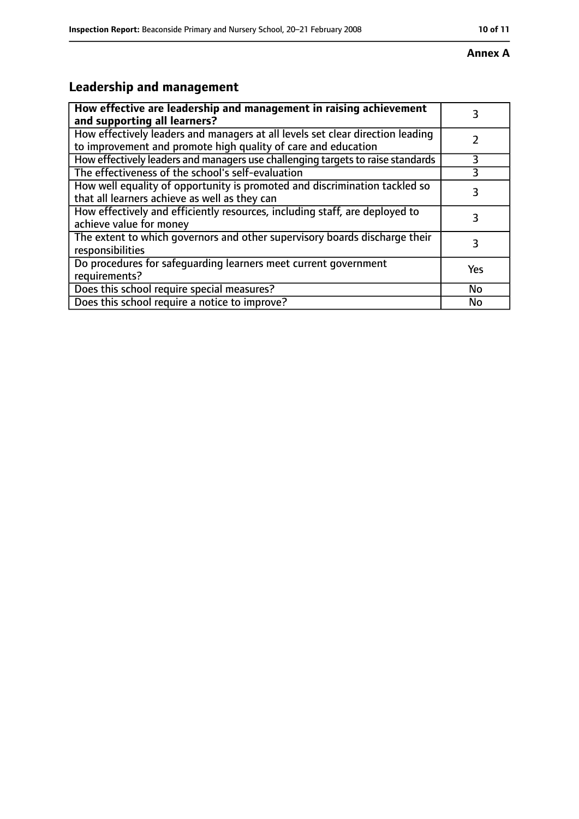#### **Annex A**

# **Leadership and management**

| How effective are leadership and management in raising achievement<br>and supporting all learners?                                              |     |
|-------------------------------------------------------------------------------------------------------------------------------------------------|-----|
| How effectively leaders and managers at all levels set clear direction leading<br>to improvement and promote high quality of care and education |     |
| How effectively leaders and managers use challenging targets to raise standards                                                                 | 3   |
| The effectiveness of the school's self-evaluation                                                                                               | 3   |
| How well equality of opportunity is promoted and discrimination tackled so<br>that all learners achieve as well as they can                     |     |
| How effectively and efficiently resources, including staff, are deployed to<br>achieve value for money                                          |     |
| The extent to which governors and other supervisory boards discharge their<br>responsibilities                                                  |     |
| Do procedures for safequarding learners meet current government<br>requirements?                                                                | Yes |
| Does this school require special measures?                                                                                                      | No  |
| Does this school require a notice to improve?                                                                                                   | No  |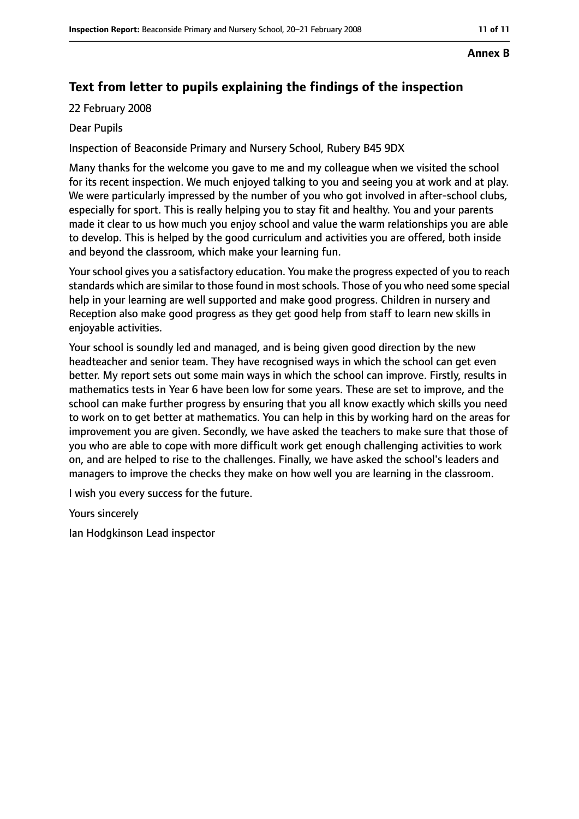#### **Annex B**

# **Text from letter to pupils explaining the findings of the inspection**

22 February 2008

#### Dear Pupils

Inspection of Beaconside Primary and Nursery School, Rubery B45 9DX

Many thanks for the welcome you gave to me and my colleague when we visited the school for its recent inspection. We much enjoyed talking to you and seeing you at work and at play. We were particularly impressed by the number of you who got involved in after-school clubs, especially for sport. This is really helping you to stay fit and healthy. You and your parents made it clear to us how much you enjoy school and value the warm relationships you are able to develop. This is helped by the good curriculum and activities you are offered, both inside and beyond the classroom, which make your learning fun.

Your school gives you a satisfactory education. You make the progress expected of you to reach standards which are similar to those found in most schools. Those of you who need some special help in your learning are well supported and make good progress. Children in nursery and Reception also make good progress as they get good help from staff to learn new skills in enjoyable activities.

Your school is soundly led and managed, and is being given good direction by the new headteacher and senior team. They have recognised ways in which the school can get even better. My report sets out some main ways in which the school can improve. Firstly, results in mathematics tests in Year 6 have been low for some years. These are set to improve, and the school can make further progress by ensuring that you all know exactly which skills you need to work on to get better at mathematics. You can help in this by working hard on the areas for improvement you are given. Secondly, we have asked the teachers to make sure that those of you who are able to cope with more difficult work get enough challenging activities to work on, and are helped to rise to the challenges. Finally, we have asked the school's leaders and managers to improve the checks they make on how well you are learning in the classroom.

I wish you every success for the future.

Yours sincerely

Ian Hodgkinson Lead inspector